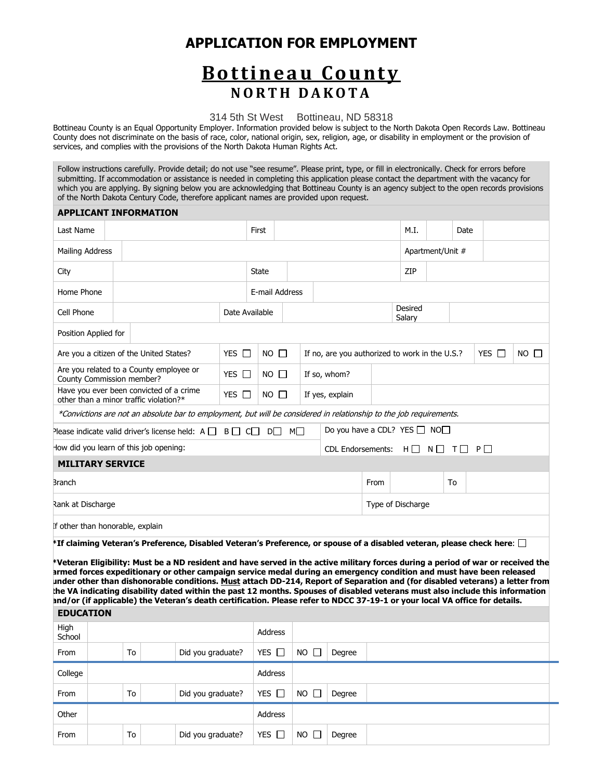### **APPLICATION FOR EMPLOYMENT**

## **B o t t i n e a u C o u n t y N O R T H D A K O T A**

314 5th St West Bottineau, ND 58318

Bottineau County is an Equal Opportunity Employer. Information provided below is subject to the North Dakota Open Records Law. Bottineau County does not discriminate on the basis of race, color, national origin, sex, religion, age, or disability in employment or the provision of services, and complies with the provisions of the North Dakota Human Rights Act.

Follow instructions carefully. Provide detail; do not use "see resume". Please print, type, or fill in electronically. Check for errors before submitting. If accommodation or assistance is needed in completing this application please contact the department with the vacancy for which you are applying. By signing below you are acknowledging that Bottineau County is an agency subject to the open records provisions of the North Dakota Century Code, therefore applicant names are provided upon request.

#### **APPLICANT INFORMATION**

| Last Name                                             |                                                                                                                     |                      | First        |                |  |                 |                                                               |      | M.I.                                    |                  | Date |            |             |
|-------------------------------------------------------|---------------------------------------------------------------------------------------------------------------------|----------------------|--------------|----------------|--|-----------------|---------------------------------------------------------------|------|-----------------------------------------|------------------|------|------------|-------------|
| Mailing Address                                       |                                                                                                                     |                      |              |                |  |                 |                                                               |      |                                         | Apartment/Unit # |      |            |             |
| City                                                  |                                                                                                                     |                      | <b>State</b> |                |  |                 |                                                               |      | ZIP                                     |                  |      |            |             |
| Home Phone                                            |                                                                                                                     |                      |              | E-mail Address |  |                 |                                                               |      |                                         |                  |      |            |             |
| Cell Phone                                            |                                                                                                                     | Date Available       |              |                |  |                 |                                                               |      | Desired<br>Salary                       |                  |      |            |             |
| Position Applied for                                  |                                                                                                                     |                      |              |                |  |                 |                                                               |      |                                         |                  |      |            |             |
| YES $\Box$<br>Are you a citizen of the United States? |                                                                                                                     |                      |              | $NO$ $\Box$    |  |                 | If no, are you authorized to work in the U.S.?                |      |                                         |                  |      | YES $\Box$ | $NO$ $\Box$ |
| County Commission member?                             | Are you related to a County employee or                                                                             | <b>YES</b><br>$\Box$ |              | $NO$ $\Box$    |  | If so, whom?    |                                                               |      |                                         |                  |      |            |             |
|                                                       | Have you ever been convicted of a crime<br>other than a minor traffic violation?*                                   | YES $\Box$           |              | $NO$ $\Box$    |  | If yes, explain |                                                               |      |                                         |                  |      |            |             |
|                                                       | *Convictions are not an absolute bar to employment, but will be considered in relationship to the job requirements. |                      |              |                |  |                 |                                                               |      |                                         |                  |      |            |             |
|                                                       | Please indicate valid driver's license held: $A \Box B \Box C \Box$                                                 |                      |              | D⊟ M⊟          |  |                 |                                                               |      | Do you have a CDL? YES $\Box$ NO $\Box$ |                  |      |            |             |
| How did you learn of this job opening:                |                                                                                                                     |                      |              |                |  |                 | CDL Endorsements: $H \Box$<br>$N \Box$<br>P<br>T <sub>1</sub> |      |                                         |                  |      |            |             |
| <b>MILITARY SERVICE</b>                               |                                                                                                                     |                      |              |                |  |                 |                                                               |      |                                         |                  |      |            |             |
| <b>Branch</b>                                         |                                                                                                                     |                      |              |                |  |                 |                                                               | From |                                         |                  | To   |            |             |
| Rank at Discharge                                     |                                                                                                                     |                      |              |                |  |                 |                                                               |      | Type of Discharge                       |                  |      |            |             |
| If other than honorable, explain                      |                                                                                                                     |                      |              |                |  |                 |                                                               |      |                                         |                  |      |            |             |

**\*If claiming Veteran's Preference, Disabled Veteran's Preference, or spouse of a disabled veteran, please check here**:

**\*Veteran Eligibility: Must be a ND resident and have served in the active military forces during a period of war or received the armed forces expeditionary or other campaign service medal during an emergency condition and must have been released under other than dishonorable conditions. Must attach DD-214, Report of Separation and (for disabled veterans) a letter from the VA indicating disability dated within the past 12 months. Spouses of disabled veterans must also include this information and/or (if applicable) the Veteran's death certification. Please refer to NDCC 37-19-1 or your local VA office for details.** 

| <b>EDUCATION</b> |    |                   |               |                 |        |  |
|------------------|----|-------------------|---------------|-----------------|--------|--|
| High<br>School   |    |                   | Address       |                 |        |  |
| From             | To | Did you graduate? | YES $\square$ | NO <sub>2</sub> | Degree |  |
| College          |    |                   | Address       |                 |        |  |
| From             | To | Did you graduate? | YES $\square$ | $NO$ $\Box$     | Degree |  |
| Other            |    |                   | Address       |                 |        |  |
| From             | To | Did you graduate? | YES $\Box$    | NO <sub>1</sub> | Degree |  |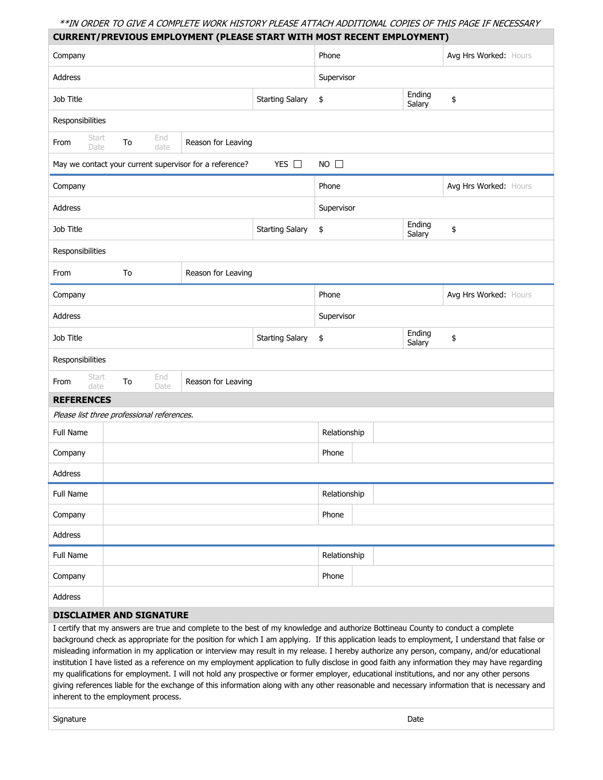### \*\*IN ORDER TO GIVE A COMPLETE WORK HISTORY PLEASE ATTACH ADDITIONAL COPIES OF THIS PAGE IF NECESSARY

|                                            |    |             | <b>CURRENT/PREVIOUS EMPLOYMENT (PLEASE START WITH MOST RECENT EMPLOYMENT)</b>                                                                                                                                                                                                                                                                                                                                                   |                        |              |                  |                       |  |
|--------------------------------------------|----|-------------|---------------------------------------------------------------------------------------------------------------------------------------------------------------------------------------------------------------------------------------------------------------------------------------------------------------------------------------------------------------------------------------------------------------------------------|------------------------|--------------|------------------|-----------------------|--|
| Company                                    |    |             |                                                                                                                                                                                                                                                                                                                                                                                                                                 |                        | Phone        |                  | Avg Hrs Worked: Hours |  |
| Address                                    |    |             |                                                                                                                                                                                                                                                                                                                                                                                                                                 |                        | Supervisor   |                  |                       |  |
| Job Title                                  |    |             |                                                                                                                                                                                                                                                                                                                                                                                                                                 | <b>Starting Salary</b> | \$           | Ending<br>Salary | \$                    |  |
| Responsibilities                           |    |             |                                                                                                                                                                                                                                                                                                                                                                                                                                 |                        |              |                  |                       |  |
| Start<br>From<br>Date                      | To | End<br>date | Reason for Leaving                                                                                                                                                                                                                                                                                                                                                                                                              |                        |              |                  |                       |  |
|                                            |    |             | May we contact your current supervisor for a reference?                                                                                                                                                                                                                                                                                                                                                                         | YES □                  | $NO$ $\Box$  |                  |                       |  |
| Company                                    |    |             |                                                                                                                                                                                                                                                                                                                                                                                                                                 |                        | Phone        |                  | Avg Hrs Worked: Hours |  |
| Address                                    |    |             |                                                                                                                                                                                                                                                                                                                                                                                                                                 |                        | Supervisor   |                  |                       |  |
| Job Title                                  |    |             |                                                                                                                                                                                                                                                                                                                                                                                                                                 | <b>Starting Salary</b> | \$           | Ending<br>Salary | \$                    |  |
| Responsibilities                           |    |             |                                                                                                                                                                                                                                                                                                                                                                                                                                 |                        |              |                  |                       |  |
| From                                       | To |             | Reason for Leaving                                                                                                                                                                                                                                                                                                                                                                                                              |                        |              |                  |                       |  |
| Company                                    |    |             |                                                                                                                                                                                                                                                                                                                                                                                                                                 |                        | Phone        |                  | Avg Hrs Worked: Hours |  |
| Address                                    |    |             |                                                                                                                                                                                                                                                                                                                                                                                                                                 |                        | Supervisor   |                  |                       |  |
| Job Title                                  |    |             |                                                                                                                                                                                                                                                                                                                                                                                                                                 | <b>Starting Salary</b> | \$           | Ending<br>Salary | \$                    |  |
| Responsibilities                           |    |             |                                                                                                                                                                                                                                                                                                                                                                                                                                 |                        |              |                  |                       |  |
| Start<br>From<br>date                      | To | End<br>Date | Reason for Leaving                                                                                                                                                                                                                                                                                                                                                                                                              |                        |              |                  |                       |  |
| <b>REFERENCES</b>                          |    |             |                                                                                                                                                                                                                                                                                                                                                                                                                                 |                        |              |                  |                       |  |
| Please list three professional references. |    |             |                                                                                                                                                                                                                                                                                                                                                                                                                                 |                        |              |                  |                       |  |
| <b>Full Name</b>                           |    |             |                                                                                                                                                                                                                                                                                                                                                                                                                                 |                        | Relationship |                  |                       |  |
| Company                                    |    |             |                                                                                                                                                                                                                                                                                                                                                                                                                                 |                        | Phone        |                  |                       |  |
| Address                                    |    |             |                                                                                                                                                                                                                                                                                                                                                                                                                                 |                        |              |                  |                       |  |
| Full Name                                  |    |             |                                                                                                                                                                                                                                                                                                                                                                                                                                 |                        | Relationship |                  |                       |  |
| Company                                    |    |             |                                                                                                                                                                                                                                                                                                                                                                                                                                 |                        | Phone        |                  |                       |  |
| Address                                    |    |             |                                                                                                                                                                                                                                                                                                                                                                                                                                 |                        |              |                  |                       |  |
| Full Name                                  |    |             |                                                                                                                                                                                                                                                                                                                                                                                                                                 |                        | Relationship |                  |                       |  |
| Company                                    |    |             |                                                                                                                                                                                                                                                                                                                                                                                                                                 |                        | Phone        |                  |                       |  |
| Address                                    |    |             |                                                                                                                                                                                                                                                                                                                                                                                                                                 |                        |              |                  |                       |  |
| <b>DISCLAIMER AND SIGNATURE</b>            |    |             |                                                                                                                                                                                                                                                                                                                                                                                                                                 |                        |              |                  |                       |  |
|                                            |    |             | I certify that my answers are true and complete to the best of my knowledge and authorize Bottineau County to conduct a complete<br>background check as appropriate for the position for which I am applying. If this application leads to employment, I understand that false or<br>misleading information in my application or interview may result in my release. I hereby authorize any person, company, and/or educational |                        |              |                  |                       |  |

institution I have listed as a reference on my employment application to fully disclose in good faith any information they may have regarding my qualifications for employment. I will not hold any prospective or former employer, educational institutions, and nor any other persons giving references liable for the exchange of this information along with any other reasonable and necessary information that is necessary and inherent to the employment process.

signature Date Date of the Date of the Date of the Date of the Date of the Date of the Date of the Date of the